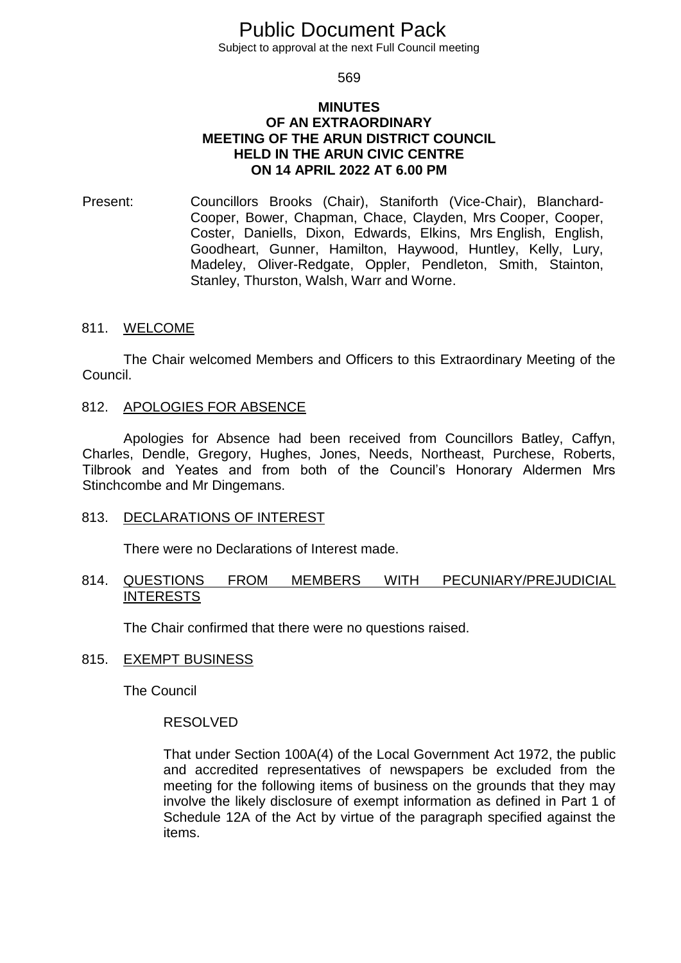# Public Document Pack

Subject to approval at the next Full Council meeting

569

# **MINUTES OF AN EXTRAORDINARY MEETING OF THE ARUN DISTRICT COUNCIL HELD IN THE ARUN CIVIC CENTRE ON 14 APRIL 2022 AT 6.00 PM**

Present: Councillors Brooks (Chair), Staniforth (Vice-Chair), Blanchard-Cooper, Bower, Chapman, Chace, Clayden, Mrs Cooper, Cooper, Coster, Daniells, Dixon, Edwards, Elkins, Mrs English, English, Goodheart, Gunner, Hamilton, Haywood, Huntley, Kelly, Lury, Madeley, Oliver-Redgate, Oppler, Pendleton, Smith, Stainton, Stanley, Thurston, Walsh, Warr and Worne.

# 811. WELCOME

The Chair welcomed Members and Officers to this Extraordinary Meeting of the Council.

# 812. APOLOGIES FOR ABSENCE

Apologies for Absence had been received from Councillors Batley, Caffyn, Charles, Dendle, Gregory, Hughes, Jones, Needs, Northeast, Purchese, Roberts, Tilbrook and Yeates and from both of the Council's Honorary Aldermen Mrs Stinchcombe and Mr Dingemans.

#### 813. DECLARATIONS OF INTEREST

There were no Declarations of Interest made.

# 814. QUESTIONS FROM MEMBERS WITH PECUNIARY/PREJUDICIAL INTERESTS

The Chair confirmed that there were no questions raised.

#### 815. EXEMPT BUSINESS

The Council

#### RESOLVED

That under Section 100A(4) of the Local Government Act 1972, the public and accredited representatives of newspapers be excluded from the meeting for the following items of business on the grounds that they may involve the likely disclosure of exempt information as defined in Part 1 of Schedule 12A of the Act by virtue of the paragraph specified against the items.